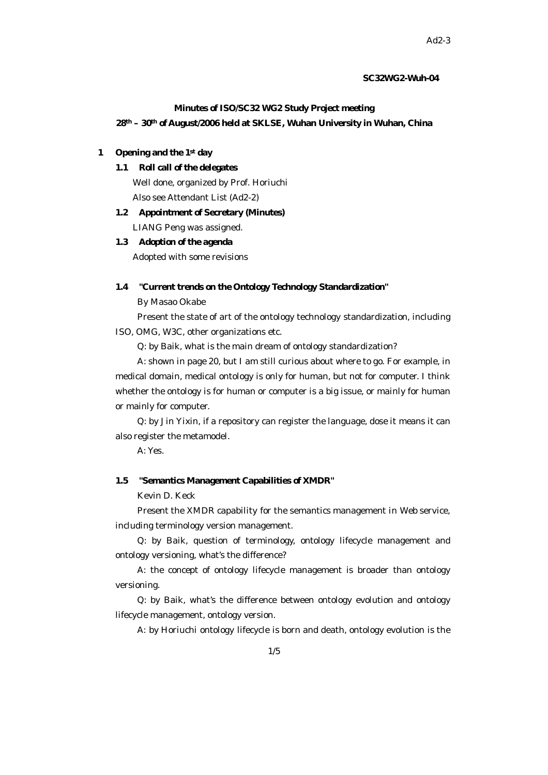### **SC32WG2-Wuh-04**

#### **Minutes of ISO/SC32 WG2 Study Project meeting**

**28th – 30th of August/2006 held at SKLSE, Wuhan University in Wuhan, China**

## **1 Opening and the 1st day**

# **1.1 Roll call of the delegates**

Well done, organized by Prof. Horiuchi

Also see Attendant List (Ad2-2)

# **1.2 Appointment of Secretary (Minutes)** LIANG Peng was assigned.

#### **1.3 Adoption of the agenda**

Adopted with some revisions

### **1.4 "Current trends on the Ontology Technology Standardization"**

By Masao Okabe

Present the state of art of the ontology technology standardization, including ISO, OMG, W3C, other organizations etc.

Q: by Baik, what is the main dream of ontology standardization?

A: shown in page 20, but I am still curious about where to go. For example, in medical domain, medical ontology is only for human, but not for computer. I think whether the ontology is for human or computer is a big issue, or mainly for human or mainly for computer.

Q: by Jin Yixin, if a repository can register the language, dose it means it can also register the metamodel.

A: Yes.

## **1.5 "Semantics Management Capabilities of XMDR"**

Kevin D. Keck

Present the XMDR capability for the semantics management in Web service, including terminology version management.

Q: by Baik, question of terminology, ontology lifecycle management and ontology versioning, what's the difference?

A: the concept of ontology lifecycle management is broader than ontology versioning.

Q: by Baik, what's the difference between ontology evolution and ontology lifecycle management, ontology version.

A: by Horiuchi ontology lifecycle is born and death, ontology evolution is the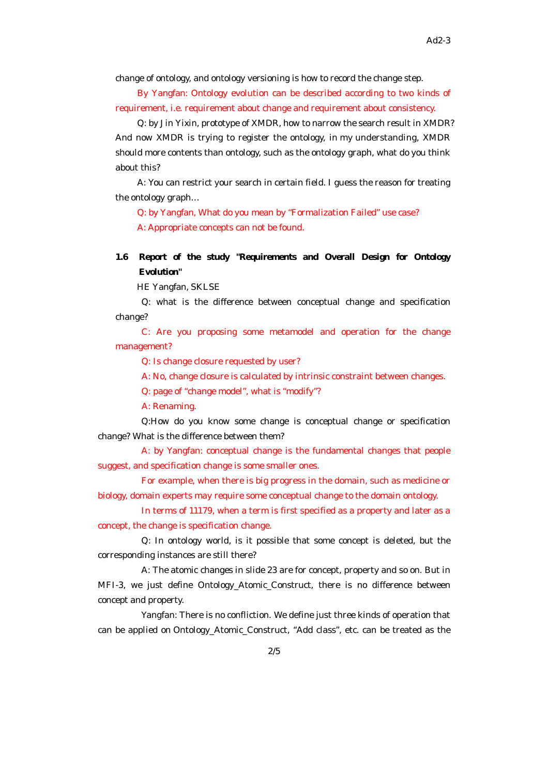change of ontology, and ontology versioning is how to record the change step.

By Yangfan: Ontology evolution can be described according to two kinds of requirement, i.e. requirement about change and requirement about consistency.

Q: by Jin Yixin, prototype of XMDR, how to narrow the search result in XMDR? And now XMDR is trying to register the ontology, in my understanding, XMDR should more contents than ontology, such as the ontology graph, what do you think about this?

A: You can restrict your search in certain field. I guess the reason for treating the ontology graph…

Q: by Yangfan, What do you mean by "Formalization Failed" use case? A: Appropriate concepts can not be found.

# **1.6 Report of the study "Requirements and Overall Design for Ontology Evolution"**

HE Yangfan, SKLSE

Q: what is the difference between conceptual change and specification change?

C: Are you proposing some metamodel and operation for the change management?

Q: Is change closure requested by user?

A: No, change closure is calculated by intrinsic constraint between changes.

Q: page of "change model", what is "modify"?

A: Renaming.

Q:How do you know some change is conceptual change or specification change? What is the difference between them?

A: by Yangfan: conceptual change is the fundamental changes that people suggest, and specification change is some smaller ones.

For example, when there is big progress in the domain, such as medicine or biology, domain experts may require some conceptual change to the domain ontology.

In terms of 11179, when a term is first specified as a property and later as a concept, the change is specification change.

Q: In ontology world, is it possible that some concept is deleted, but the corresponding instances are still there?

A: The atomic changes in slide 23 are for concept, property and so on. But in MFI-3, we just define Ontology\_Atomic\_Construct, there is no difference between concept and property.

Yangfan: There is no confliction. We define just three kinds of operation that can be applied on Ontology\_Atomic\_Construct, "Add class", etc. can be treated as the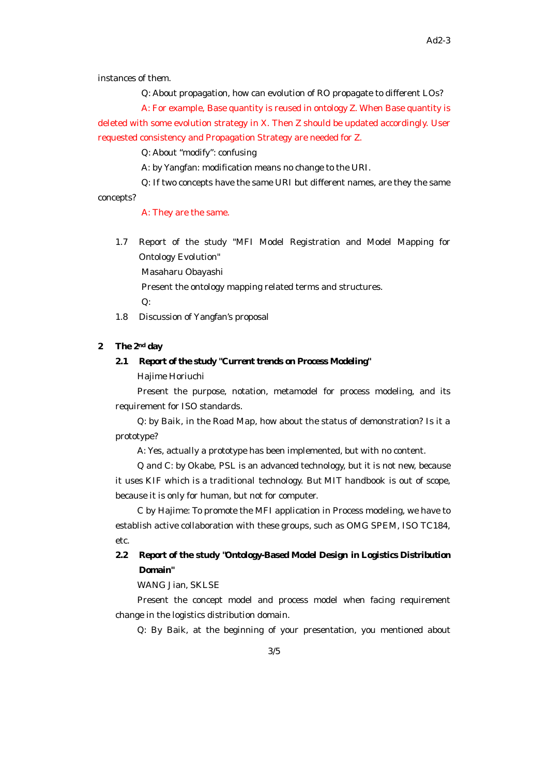instances of them.

Q: About propagation, how can evolution of RO propagate to different LOs?

A: For example, Base quantity is reused in ontology Z. When Base quantity is deleted with some evolution strategy in X. Then Z should be updated accordingly. User requested consistency and Propagation Strategy are needed for Z.

Q: About "modify": confusing

A: by Yangfan: modification means no change to the URI.

Q: If two concepts have the same URI but different names, are they the same concepts?

A: They are the same.

1.7 Report of the study "MFI Model Registration and Model Mapping for Ontology Evolution"

Masaharu Obayashi

Present the ontology mapping related terms and structures.

Q:

1.8 Discussion of Yangfan's proposal

# **2 The 2nd day**

#### **2.1 Report of the study "Current trends on Process Modeling"**

Hajime Horiuchi

Present the purpose, notation, metamodel for process modeling, and its requirement for ISO standards.

Q: by Baik, in the Road Map, how about the status of demonstration? Is it a prototype?

A: Yes, actually a prototype has been implemented, but with no content.

Q and C: by Okabe, PSL is an advanced technology, but it is not new, because it uses KIF which is a traditional technology. But MIT handbook is out of scope, because it is only for human, but not for computer.

C by Hajime: To promote the MFI application in Process modeling, we have to establish active collaboration with these groups, such as OMG SPEM, ISO TC184, etc.

# **2.2 Report of the study "Ontology-Based Model Design in Logistics Distribution Domain"**

WANG Jian, SKLSE

Present the concept model and process model when facing requirement change in the logistics distribution domain.

Q: By Baik, at the beginning of your presentation, you mentioned about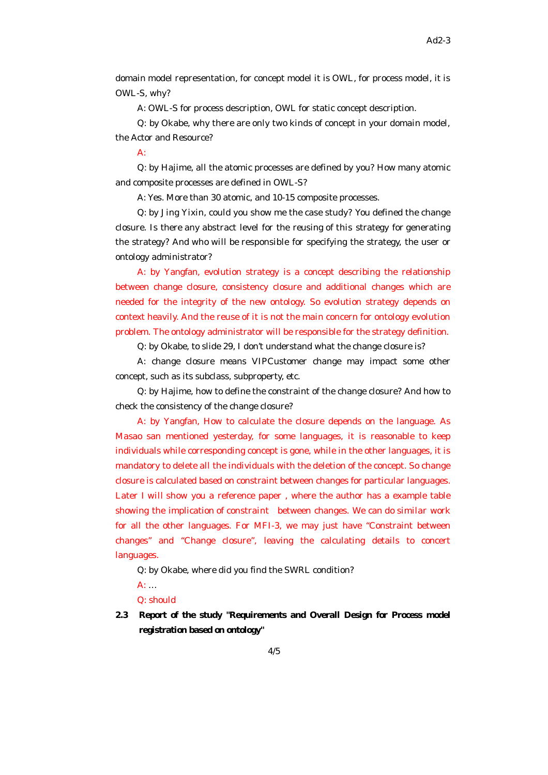domain model representation, for concept model it is OWL, for process model, it is OWL-S, why?

A: OWL-S for process description, OWL for static concept description.

Q: by Okabe, why there are only two kinds of concept in your domain model, the Actor and Resource?

### $\Delta$

Q: by Hajime, all the atomic processes are defined by you? How many atomic and composite processes are defined in OWL-S?

A: Yes. More than 30 atomic, and 10-15 composite processes.

Q: by Jing Yixin, could you show me the case study? You defined the change closure. Is there any abstract level for the reusing of this strategy for generating the strategy? And who will be responsible for specifying the strategy, the user or ontology administrator?

A: by Yangfan, evolution strategy is a concept describing the relationship between change closure, consistency closure and additional changes which are needed for the integrity of the new ontology. So evolution strategy depends on context heavily. And the reuse of it is not the main concern for ontology evolution problem. The ontology administrator will be responsible for the strategy definition.

Q: by Okabe, to slide 29, I don't understand what the change closure is?

A: change closure means VIPCustomer change may impact some other concept, such as its subclass, subproperty, etc.

Q: by Hajime, how to define the constraint of the change closure? And how to check the consistency of the change closure?

A: by Yangfan, How to calculate the closure depends on the language. As Masao san mentioned yesterday, for some languages, it is reasonable to keep individuals while corresponding concept is gone, while in the other languages, it is mandatory to delete all the individuals with the deletion of the concept. So change closure is calculated based on constraint between changes for particular languages. Later I will show you a reference paper , where the author has a example table showing the implication of constraint between changes. We can do similar work for all the other languages. For MFI-3, we may just have "Constraint between changes" and "Change closure", leaving the calculating details to concert languages.

Q: by Okabe, where did you find the SWRL condition?

A: …

Q: should

**2.3 Report of the study "Requirements and Overall Design for Process model registration based on ontology"**